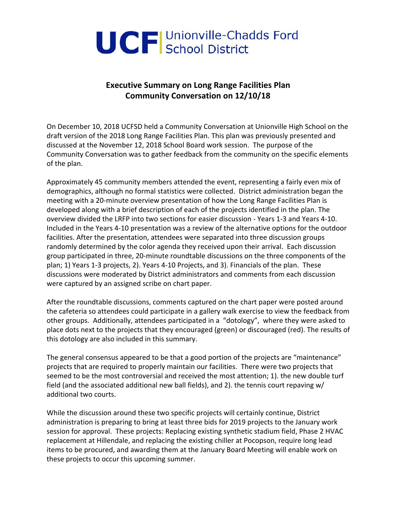

# **Executive Summary on Long Range Facilities Plan Community Conversation on 12/10/18**

On December 10, 2018 UCFSD held a Community Conversation at Unionville High School on the draft version of the 2018 Long Range Facilities Plan. This plan was previously presented and discussed at the November 12, 2018 School Board work session. The purpose of the Community Conversation was to gather feedback from the community on the specific elements of the plan.

Approximately 45 community members attended the event, representing a fairly even mix of demographics, although no formal statistics were collected. District administration began the meeting with a 20-minute overview presentation of how the Long Range Facilities Plan is developed along with a brief description of each of the projects identified in the plan. The overview divided the LRFP into two sections for easier discussion - Years 1-3 and Years 4-10. Included in the Years 4-10 presentation was a review of the alternative options for the outdoor facilities. After the presentation, attendees were separated into three discussion groups randomly determined by the color agenda they received upon their arrival. Each discussion group participated in three, 20-minute roundtable discussions on the three components of the plan; 1) Years 1-3 projects, 2). Years 4-10 Projects, and 3). Financials of the plan. These discussions were moderated by District administrators and comments from each discussion were captured by an assigned scribe on chart paper.

After the roundtable discussions, comments captured on the chart paper were posted around the cafeteria so attendees could participate in a gallery walk exercise to view the feedback from other groups. Additionally, attendees participated in a "dotology", where they were asked to place dots next to the projects that they encouraged (green) or discouraged (red). The results of this dotology are also included in this summary.

The general consensus appeared to be that a good portion of the projects are "maintenance" projects that are required to properly maintain our facilities. There were two projects that seemed to be the most controversial and received the most attention; 1). the new double turf field (and the associated additional new ball fields), and 2). the tennis court repaving w/ additional two courts.

While the discussion around these two specific projects will certainly continue, District administration is preparing to bring at least three bids for 2019 projects to the January work session for approval. These projects: Replacing existing synthetic stadium field, Phase 2 HVAC replacement at Hillendale, and replacing the existing chiller at Pocopson, require long lead items to be procured, and awarding them at the January Board Meeting will enable work on these projects to occur this upcoming summer.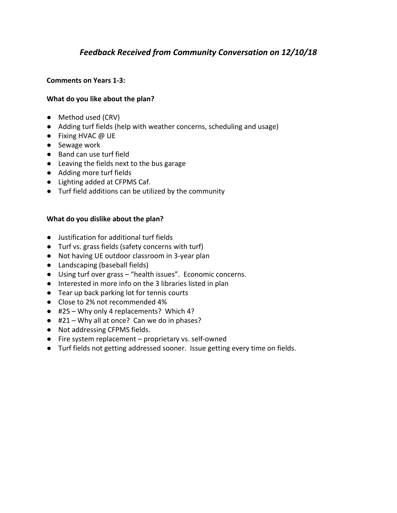# *Feedback Received from Community Conversation on 12/10/18*

### **Comments on Years 1-3:**

### **What do you like about the plan?**

- Method used (CRV)
- Adding turf fields (help with weather concerns, scheduling and usage)
- Fixing HVAC @ UE
- Sewage work
- Band can use turf field
- Leaving the fields next to the bus garage
- Adding more turf fields
- Lighting added at CFPMS Caf.
- Turf field additions can be utilized by the community

#### **What do you dislike about the plan?**

- Justification for additional turf fields
- Turf vs. grass fields (safety concerns with turf)
- Not having UE outdoor classroom in 3-year plan
- Landscaping (baseball fields)
- Using turf over grass "health issues". Economic concerns.
- Interested in more info on the 3 libraries listed in plan
- Tear up back parking lot for tennis courts
- Close to 2% not recommended 4%
- #25 Why only 4 replacements? Which 4?
- #21 Why all at once? Can we do in phases?
- Not addressing CFPMS fields.
- Fire system replacement proprietary vs. self-owned
- Turf fields not getting addressed sooner. Issue getting every time on fields.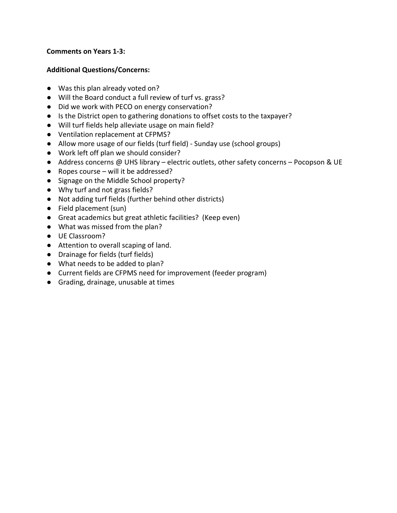### **Comments on Years 1-3:**

### **Additional Questions/Concerns:**

- Was this plan already voted on?
- Will the Board conduct a full review of turf vs. grass?
- Did we work with PECO on energy conservation?
- Is the District open to gathering donations to offset costs to the taxpayer?
- Will turf fields help alleviate usage on main field?
- Ventilation replacement at CFPMS?
- Allow more usage of our fields (turf field) Sunday use (school groups)
- Work left off plan we should consider?
- Address concerns @ UHS library electric outlets, other safety concerns Pocopson & UE
- $\bullet$  Ropes course will it be addressed?
- Signage on the Middle School property?
- Why turf and not grass fields?
- Not adding turf fields (further behind other districts)
- Field placement (sun)
- Great academics but great athletic facilities? (Keep even)
- What was missed from the plan?
- UE Classroom?
- Attention to overall scaping of land.
- Drainage for fields (turf fields)
- What needs to be added to plan?
- Current fields are CFPMS need for improvement (feeder program)
- Grading, drainage, unusable at times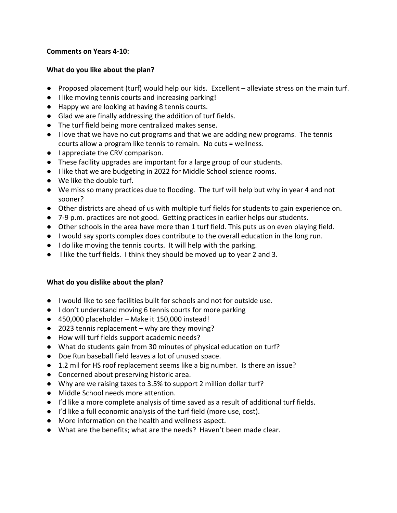### **Comments on Years 4-10:**

### **What do you like about the plan?**

- Proposed placement (turf) would help our kids. Excellent alleviate stress on the main turf.
- I like moving tennis courts and increasing parking!
- Happy we are looking at having 8 tennis courts.
- Glad we are finally addressing the addition of turf fields.
- The turf field being more centralized makes sense.
- I love that we have no cut programs and that we are adding new programs. The tennis courts allow a program like tennis to remain. No cuts = wellness.
- I appreciate the CRV comparison.
- These facility upgrades are important for a large group of our students.
- I like that we are budgeting in 2022 for Middle School science rooms.
- We like the double turf.
- We miss so many practices due to flooding. The turf will help but why in year 4 and not sooner?
- Other districts are ahead of us with multiple turf fields for students to gain experience on.
- 7-9 p.m. practices are not good. Getting practices in earlier helps our students.
- Other schools in the area have more than 1 turf field. This puts us on even playing field.
- I would say sports complex does contribute to the overall education in the long run.
- I do like moving the tennis courts. It will help with the parking.
- I like the turf fields. I think they should be moved up to year 2 and 3.

## **What do you dislike about the plan?**

- I would like to see facilities built for schools and not for outside use.
- I don't understand moving 6 tennis courts for more parking
- 450,000 placeholder Make it 150,000 instead!
- 2023 tennis replacement why are they moving?
- How will turf fields support academic needs?
- What do students gain from 30 minutes of physical education on turf?
- Doe Run baseball field leaves a lot of unused space.
- 1.2 mil for HS roof replacement seems like a big number. Is there an issue?
- Concerned about preserving historic area.
- Why are we raising taxes to 3.5% to support 2 million dollar turf?
- Middle School needs more attention.
- I'd like a more complete analysis of time saved as a result of additional turf fields.
- I'd like a full economic analysis of the turf field (more use, cost).
- More information on the health and wellness aspect.
- What are the benefits; what are the needs? Haven't been made clear.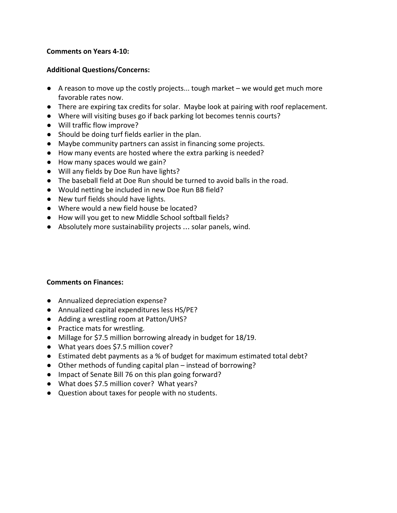#### **Comments on Years 4-10:**

### **Additional Questions/Concerns:**

- $\bullet$  A reason to move up the costly projects... tough market we would get much more favorable rates now.
- There are expiring tax credits for solar. Maybe look at pairing with roof replacement.
- Where will visiting buses go if back parking lot becomes tennis courts?
- Will traffic flow improve?
- Should be doing turf fields earlier in the plan.
- Maybe community partners can assist in financing some projects.
- How many events are hosted where the extra parking is needed?
- How many spaces would we gain?
- Will any fields by Doe Run have lights?
- The baseball field at Doe Run should be turned to avoid balls in the road.
- Would netting be included in new Doe Run BB field?
- New turf fields should have lights.
- Where would a new field house be located?
- How will you get to new Middle School softball fields?
- Absolutely more sustainability projects … solar panels, wind.

#### **Comments on Finances:**

- Annualized depreciation expense?
- Annualized capital expenditures less HS/PE?
- Adding a wrestling room at Patton/UHS?
- Practice mats for wrestling.
- Millage for \$7.5 million borrowing already in budget for 18/19.
- What years does \$7.5 million cover?
- Estimated debt payments as a % of budget for maximum estimated total debt?
- Other methods of funding capital plan instead of borrowing?
- Impact of Senate Bill 76 on this plan going forward?
- What does \$7.5 million cover? What years?
- Question about taxes for people with no students.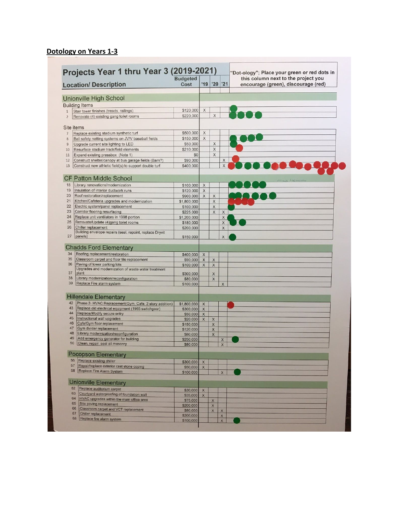# **Dotology on Years 1-3**

|                       | Projects Year 1 thru Year 3 (2019-2021)                     | <b>Budgeted</b>       |             |                      |             | "Dot-ology"; Place your green or red dots in<br>this column next to the project you |
|-----------------------|-------------------------------------------------------------|-----------------------|-------------|----------------------|-------------|-------------------------------------------------------------------------------------|
|                       | <b>Location/ Description</b>                                | Cost                  | '19         | '20                  | '21         | encourage (green), discourage (red)                                                 |
|                       | Unionville High School                                      |                       |             |                      |             |                                                                                     |
| <b>Building Items</b> |                                                             |                       |             |                      |             |                                                                                     |
|                       | Stair tower finishes (treads, railings)                     | \$120,000             | X           |                      |             |                                                                                     |
| $\mathbf{1}$          | Renovate (4) existing gang toilet rooms                     | \$220,000             |             | X                    |             |                                                                                     |
| $\overline{2}$        |                                                             |                       |             |                      |             |                                                                                     |
| Site items            |                                                             |                       |             |                      |             |                                                                                     |
| 7                     | Replace existing stadium synthetic turf                     | \$500,000             | X           |                      |             |                                                                                     |
| $8\phantom{1}$        | Ball safety netting systems on JV/V baseball fields         | \$150,000             | X           |                      |             |                                                                                     |
| $\overline{9}$        | Upgrade current site lighting to LED                        | \$50,000              |             | X                    |             |                                                                                     |
| 10                    | Resurface stadium track/field elements                      | \$210,000             |             | $\mathsf X$          |             |                                                                                     |
| 11                    | Expand existing pressbox (Note 1)                           | \$0                   |             | $\mathsf{X}$         |             |                                                                                     |
| 12                    | Construct shelter/canopy at bus garage fields (Barn?)       | \$90,000              |             |                      | X           |                                                                                     |
| 13                    | Construct new athletic field(s) to support double turf      | \$400,000             |             |                      | X           |                                                                                     |
|                       | <b>CF Patton Middle School</b>                              |                       |             |                      |             |                                                                                     |
| 18                    | Library renovations/modernization                           | \$100,000             | $\mathsf X$ |                      |             | 175 mills do bel rome when                                                          |
| 19                    | Insulation of interior ductwork runs                        | \$120,000             | $\mathsf X$ |                      |             |                                                                                     |
| 20                    | Roof restoration/replacement                                | \$900,000             | X           | X                    |             |                                                                                     |
| 21                    | Kitchen/Cafeteria upgrades and modernization                | \$1,800,000           |             | X                    |             |                                                                                     |
| 22                    | Electric system/panel replacement                           | \$100,000             |             | X                    |             |                                                                                     |
| 23                    | Corridor flooring resurfacing                               | \$225,000             |             | X                    | $\times$    |                                                                                     |
| 24                    | Replace unit ventilators in 1998 portion                    | \$1,200,000           |             |                      | $\mathsf X$ |                                                                                     |
| 25                    | Renovate/Update (4)gang toilet rooms                        | \$180,000             |             |                      | $\times$    |                                                                                     |
| 26                    | Chiller replacement                                         | \$200,000             |             |                      | X           |                                                                                     |
| 27<br>panels)         | Building envelope repairs (seal, repoint, replace Dryvit    | \$150,000             |             |                      | X           |                                                                                     |
|                       |                                                             |                       |             |                      |             |                                                                                     |
|                       | <b>Chadds Ford Elementary</b>                               |                       |             |                      |             |                                                                                     |
| 34                    | Roofing replacement/restoration                             | \$400,000             | $\times$    |                      |             |                                                                                     |
| 35                    | Classroom carpet and floor tile replacement                 | \$90,000              | $\mathsf X$ | X                    |             |                                                                                     |
| 36                    | Paving of lower parking lots                                | \$100,000             | $\mathsf X$ | $\times$             |             |                                                                                     |
| 37<br>plant           | Upgrades and modernization of waste water treatment         | \$300,000             |             | X                    |             |                                                                                     |
| 38                    | Library modernization/reconfiguration                       | \$80,000              |             | $\times$             |             |                                                                                     |
| 39                    | Replace Fire alarm system                                   | \$100,000             |             |                      | X           |                                                                                     |
|                       |                                                             |                       |             |                      |             |                                                                                     |
|                       | <b>Hillendale Elementary</b>                                |                       |             |                      |             |                                                                                     |
| 42                    | Phase 2- HVAC Replacement(Gym, Cafe, 2 story addition)      | \$1,800,000           | X           |                      |             |                                                                                     |
| 43                    | Replace old electrical equipment (1965 swtichgear)          | \$300,000             | $\times$    |                      |             |                                                                                     |
| 44                    | Replace/Modify secure entry                                 | \$50,000              | $\mathsf X$ |                      |             |                                                                                     |
| 45<br>46              | Instructional wall upgrades<br>Cafe/Gym floor replacement   | \$20,000              | X           | X                    |             |                                                                                     |
| 47                    | Gym divider replacement                                     | \$150,000             |             | $\times$             |             |                                                                                     |
| 48                    | Library modernization/reconfiguration                       | \$120,000<br>\$80,000 |             | $\times$<br>$\times$ |             |                                                                                     |
| 49                    | Add emergency generator for building                        | \$250,000             |             |                      | X           |                                                                                     |
| 50                    | Clean, repair, seal all masonry                             | \$80,000              |             |                      | $\times$    |                                                                                     |
|                       |                                                             |                       |             |                      |             |                                                                                     |
| 56                    | <b>Pocopson Elementary</b><br>Replace existing chiller      |                       |             |                      |             |                                                                                     |
| 57                    | Repair/replace exterior cast stone coping                   | \$300,000             | $\times$    |                      |             |                                                                                     |
| 58                    | Replace Fire Alarm System                                   | \$50,000<br>\$100,000 | $\times$    |                      | $\times$    |                                                                                     |
|                       |                                                             |                       |             |                      |             |                                                                                     |
|                       | <b>Unionville Elementary</b>                                |                       |             |                      |             |                                                                                     |
| 62                    | Replace auditorium carpet                                   | \$30,000              | $\times$    |                      |             |                                                                                     |
| 63                    | Courtyard waterproofing of foundation wall                  | \$35,000              | $\times$    |                      |             |                                                                                     |
| 64                    | HVAC upgrades within the main office area                   | \$75,000              |             | X                    |             |                                                                                     |
| 65<br>66              | Site paving replacement                                     | \$200,000             |             | $\times$             |             |                                                                                     |
| 67                    | Classroom carpet and VCT replacement<br>Chiller replacement | \$80,000              |             | $\times$             | $\times$    |                                                                                     |
|                       | Replace fire alarm system                                   | \$200,000             |             |                      | $\times$    |                                                                                     |

 $\mathbf{L}$